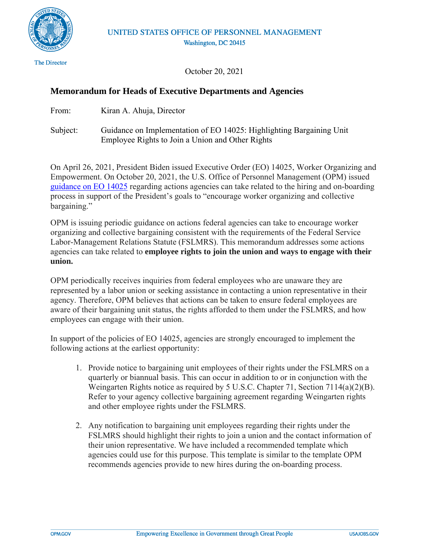

**The Director** 

October 20, 2021

## **Memorandum for Heads of Executive Departments and Agencies**

- From: Kiran A. Ahuja, Director
- Subject: Guidance on Implementation of EO 14025: Highlighting Bargaining Unit Employee Rights to Join a Union and Other Rights

On April 26, 2021, President Biden issued Executive Order (EO) 14025, Worker Organizing and Empowerment. On October 20, 2021, the U.S. Office of Personnel Management (OPM) issued [guidance on EO 14025](https://chcoc.gov/content/highlighting-bargaining-unit-employee-rights-hiring-and-boarding-process) regarding actions agencies can take related to the hiring and on-boarding process in support of the President's goals to "encourage worker organizing and collective bargaining."

OPM is issuing periodic guidance on actions federal agencies can take to encourage worker organizing and collective bargaining consistent with the requirements of the Federal Service Labor-Management Relations Statute (FSLMRS). This memorandum addresses some actions agencies can take related to **employee rights to join the union and ways to engage with their union.**

OPM periodically receives inquiries from federal employees who are unaware they are represented by a labor union or seeking assistance in contacting a union representative in their agency. Therefore, OPM believes that actions can be taken to ensure federal employees are aware of their bargaining unit status, the rights afforded to them under the FSLMRS, and how employees can engage with their union.

In support of the policies of EO 14025, agencies are strongly encouraged to implement the following actions at the earliest opportunity:

- 1. Provide notice to bargaining unit employees of their rights under the FSLMRS on a quarterly or biannual basis. This can occur in addition to or in conjunction with the Weingarten Rights notice as required by 5 U.S.C. Chapter 71, Section 7114(a)(2)(B). Refer to your agency collective bargaining agreement regarding Weingarten rights and other employee rights under the FSLMRS.
- 2. Any notification to bargaining unit employees regarding their rights under the FSLMRS should highlight their rights to join a union and the contact information of their union representative. We have included a recommended template which agencies could use for this purpose. This template is similar to the template OPM recommends agencies provide to new hires during the on-boarding process.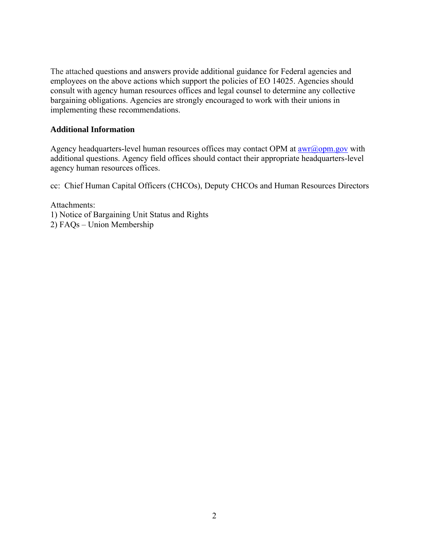The attached questions and answers provide additional guidance for Federal agencies and employees on the above actions which support the policies of EO 14025. Agencies should consult with agency human resources offices and legal counsel to determine any collective bargaining obligations. Agencies are strongly encouraged to work with their unions in implementing these recommendations.

### **Additional Information**

Agency headquarters-level human resources offices may contact OPM at  $\frac{awr(\omega)_{\text{opm.gov}}}{\text{with}}$ additional questions. Agency field offices should contact their appropriate headquarters-level agency human resources offices.

cc: Chief Human Capital Officers (CHCOs), Deputy CHCOs and Human Resources Directors

Attachments: 1) Notice of Bargaining Unit Status and Rights 2) FAQs – Union Membership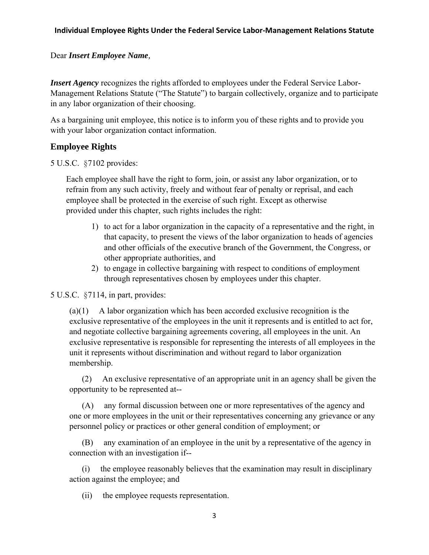### **Individual Employee Rights Under the Federal Service Labor-Management Relations Statute**

### Dear *Insert Employee Name,*

*Insert Agency* recognizes the rights afforded to employees under the Federal Service Labor-Management Relations Statute ("The Statute") to bargain collectively, organize and to participate in any labor organization of their choosing.

As a bargaining unit employee, this notice is to inform you of these rights and to provide you with your labor organization contact information.

## **Employee Rights**

5 U.S.C. §7102 provides:

Each employee shall have the right to form, join, or assist any labor organization, or to refrain from any such activity, freely and without fear of penalty or reprisal, and each employee shall be protected in the exercise of such right. Except as otherwise provided under this chapter, such rights includes the right:

- 1) to act for a labor organization in the capacity of a representative and the right, in that capacity, to present the views of the labor organization to heads of agencies and other officials of the executive branch of the Government, the Congress, or other appropriate authorities, and
- 2) to engage in collective bargaining with respect to conditions of employment through representatives chosen by employees under this chapter.

5 U.S.C. §7114, in part, provides:

 $(a)(1)$  A labor organization which has been accorded exclusive recognition is the exclusive representative of the employees in the unit it represents and is entitled to act for, and negotiate collective bargaining agreements covering, all employees in the unit. An exclusive representative is responsible for representing the interests of all employees in the unit it represents without discrimination and without regard to labor organization membership.

(2) An exclusive representative of an appropriate unit in an agency shall be given the opportunity to be represented at--

(A) any formal discussion between one or more representatives of the agency and one or more employees in the unit or their representatives concerning any grievance or any personnel policy or practices or other general condition of employment; or

(B) any examination of an employee in the unit by a representative of the agency in connection with an investigation if--

(i) the employee reasonably believes that the examination may result in disciplinary action against the employee; and

(ii) the employee requests representation.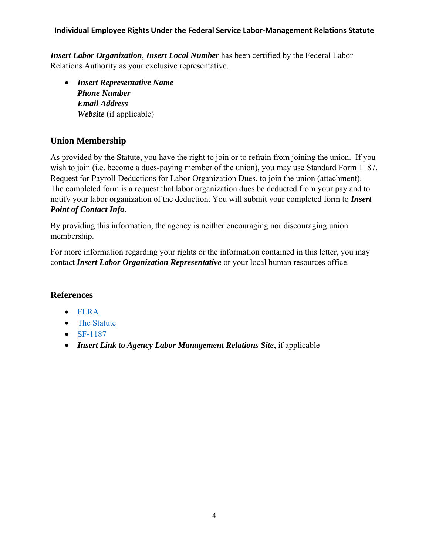## **Individual Employee Rights Under the Federal Service Labor-Management Relations Statute**

*Insert Labor Organization*, *Insert Local Number* has been certified by the Federal Labor Relations Authority as your exclusive representative.

• *Insert Representative Name Phone Number Email Address Website* (if applicable)

# **Union Membership**

As provided by the Statute, you have the right to join or to refrain from joining the union. If you wish to join (i.e. become a dues-paying member of the union), you may use Standard Form 1187, Request for Payroll Deductions for Labor Organization Dues, to join the union (attachment). The completed form is a request that labor organization dues be deducted from your pay and to notify your labor organization of the deduction. You will submit your completed form to *Insert Point of Contact Info.*

By providing this information, the agency is neither encouraging nor discouraging union membership.

For more information regarding your rights or the information contained in this letter, you may contact *Insert Labor Organization Representative* or your local human resources office.

## **References**

- [FLRA](https://www.flra.gov/)
- [The Statute](https://www.flra.gov/resources-training/resources/statute-and-regulations/statute)
- [SF-1187](https://www.opm.gov/forms/pdf_fill/sf1187.pdf)
- *Insert Link to Agency Labor Management Relations Site*, if applicable